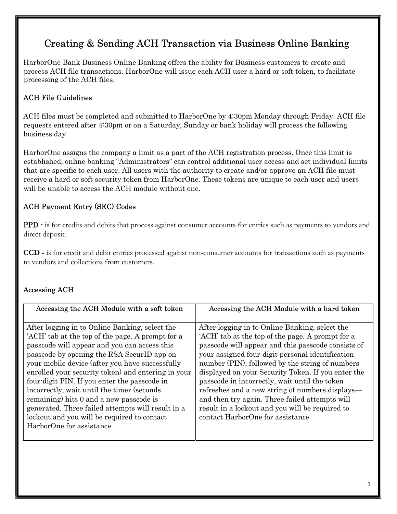# Creating & Sending ACH Transaction via Business Online Banking

HarborOne Bank Business Online Banking offers the ability for Business customers to create and process ACH file transactions. HarborOne will issue each ACH user a hard or soft token, to facilitate processing of the ACH files.

## ACH File Guidelines

ACH files must be completed and submitted to HarborOne by 4:30pm Monday through Friday. ACH file requests entered after 4:30pm or on a Saturday, Sunday or bank holiday will process the following business day.

HarborOne assigns the company a limit as a part of the ACH registration process. Once this limit is established, online banking "Administrators" can control additional user access and set individual limits that are specific to each user. All users with the authority to create and/or approve an ACH file must receive a hard or soft security token from HarborOne. These tokens are unique to each user and users will be unable to access the ACH module without one.

# ACH Payment Entry (SEC) Codes

PPD - is for credits and debits that process against consumer accounts for entries such as payments to vendors and direct deposit.

CCD - is for credit and debit entries processed against non-consumer accounts for transactions such as payments to vendors and collections from customers.

### Accessing ACH

| Accessing the ACH Module with a soft token                                                                                                                                                                                                                                                                                                                                                                                                                                                                                                                                          | Accessing the ACH Module with a hard token                                                                                                                                                                                                                                                                                                                                                                                                                                                                                                                          |
|-------------------------------------------------------------------------------------------------------------------------------------------------------------------------------------------------------------------------------------------------------------------------------------------------------------------------------------------------------------------------------------------------------------------------------------------------------------------------------------------------------------------------------------------------------------------------------------|---------------------------------------------------------------------------------------------------------------------------------------------------------------------------------------------------------------------------------------------------------------------------------------------------------------------------------------------------------------------------------------------------------------------------------------------------------------------------------------------------------------------------------------------------------------------|
|                                                                                                                                                                                                                                                                                                                                                                                                                                                                                                                                                                                     |                                                                                                                                                                                                                                                                                                                                                                                                                                                                                                                                                                     |
| After logging in to Online Banking, select the<br>'ACH' tab at the top of the page. A prompt for a<br>passcode will appear and you can access this<br>passcode by opening the RSA SecurID app on<br>your mobile device (after you have successfully<br>enrolled your security token) and entering in your<br>four-digit PIN. If you enter the passcode in<br>incorrectly, wait until the timer (seconds<br>remaining) hits 0 and a new passcode is<br>generated. Three failed attempts will result in a<br>lockout and you will be required to contact<br>HarborOne for assistance. | After logging in to Online Banking, select the<br>'ACH' tab at the top of the page. A prompt for a<br>passcode will appear and this passcode consists of<br>your assigned four-digit personal identification<br>number (PIN), followed by the string of numbers<br>displayed on your Security Token. If you enter the<br>passcode in incorrectly, wait until the token<br>refreshes and a new string of numbers displays—<br>and then try again. Three failed attempts will<br>result in a lockout and you will be required to<br>contact HarborOne for assistance. |
|                                                                                                                                                                                                                                                                                                                                                                                                                                                                                                                                                                                     |                                                                                                                                                                                                                                                                                                                                                                                                                                                                                                                                                                     |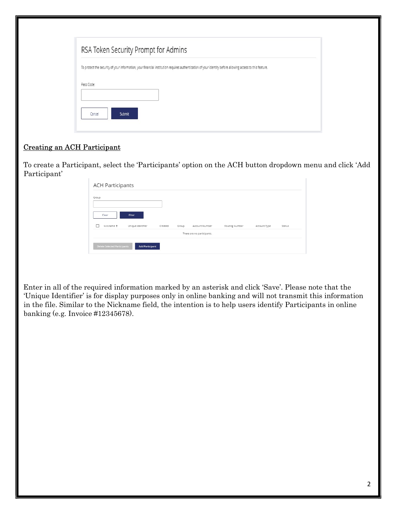| RSA Token Security Prompt for Admins |                                                                                                                                                          |  |
|--------------------------------------|----------------------------------------------------------------------------------------------------------------------------------------------------------|--|
|                                      | To protect the security of your information, your financial institution requires authentication of your identity before allowing access to this feature. |  |
| Pass Code:                           |                                                                                                                                                          |  |
|                                      |                                                                                                                                                          |  |
| Submit<br>Cancel                     |                                                                                                                                                          |  |

# Creating an ACH Participant

To create a Participant, select the 'Participants' option on the ACH button dropdown menu and click 'Add Participant'

| Group      |                   |         |       |                            |                |              |               |
|------------|-------------------|---------|-------|----------------------------|----------------|--------------|---------------|
| Clear      | <b>Filter</b>     |         |       |                            |                |              |               |
| Nickname 1 | Unique Identifier | Created | Group | Account Number             | Routing Number | Account Type | <b>Status</b> |
|            |                   |         |       | There are no participants. |                |              |               |

Enter in all of the required information marked by an asterisk and click 'Save'. Please note that the 'Unique Identifier' is for display purposes only in online banking and will not transmit this information in the file. Similar to the Nickname field, the intention is to help users identify Participants in online banking (e.g. Invoice #12345678).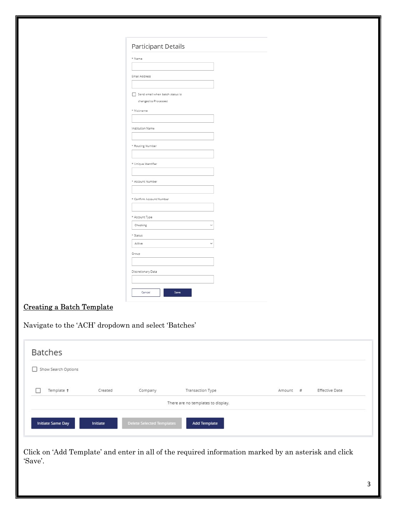|                                                     | Participant Details             |
|-----------------------------------------------------|---------------------------------|
|                                                     | * Name                          |
|                                                     |                                 |
|                                                     | Email Address                   |
|                                                     |                                 |
|                                                     | Send email when batch status is |
|                                                     | changed to Processed            |
|                                                     | * Nickname                      |
|                                                     |                                 |
|                                                     | Institution Name                |
|                                                     |                                 |
|                                                     | * Routing Number                |
|                                                     |                                 |
|                                                     | * Unique Identifier             |
|                                                     |                                 |
|                                                     | * Account Number                |
|                                                     |                                 |
|                                                     | * Confirm Account Number        |
|                                                     |                                 |
|                                                     | * Account Type                  |
|                                                     | Checking<br>$\checkmark$        |
|                                                     | * Status                        |
|                                                     | Active<br>$\ddot{\phantom{0}}$  |
|                                                     | Group                           |
|                                                     |                                 |
|                                                     | Discretionary Data              |
|                                                     |                                 |
|                                                     |                                 |
|                                                     | Save<br>Cancel                  |
| <b>Creating a Batch Template</b>                    |                                 |
|                                                     |                                 |
|                                                     |                                 |
| Navigate to the 'ACH' dropdown and select 'Batches' |                                 |

Click on 'Add Template' and enter in all of the required information marked by an asterisk and click 'Save'.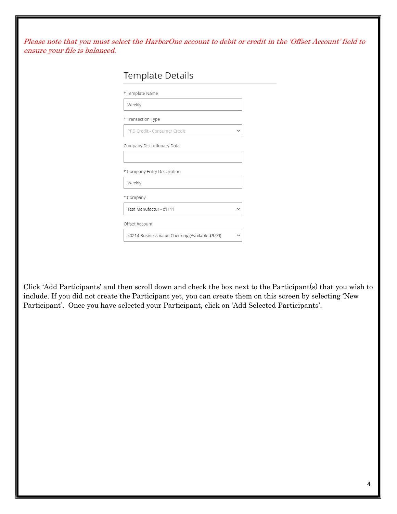Please note that you must select the HarborOne account to debit or credit in the 'Offset Account' field to ensure your file is balanced.

| * Template Name              |  |
|------------------------------|--|
| Weekly                       |  |
| * Transaction Type           |  |
| PPD Credit - Consumer Credit |  |
| Company Discretionary Data   |  |
| * Company Entry Description  |  |
| Weekly                       |  |
| * Company                    |  |
| Test Manufactur - x1111      |  |
|                              |  |
| Offset Account               |  |

Click 'Add Participants' and then scroll down and check the box next to the Participant(s) that you wish to include. If you did not create the Participant yet, you can create them on this screen by selecting 'New Participant'. Once you have selected your Participant, click on 'Add Selected Participants'.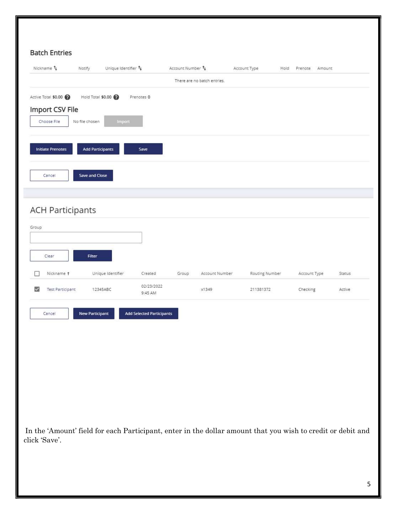| Nickname 1                   | Notify                  | Unique Identifier $\uparrow_{\downarrow}$ |                                  | Account Number 1 |                             | Account Type   | Hold Prenote<br>Amount |        |
|------------------------------|-------------------------|-------------------------------------------|----------------------------------|------------------|-----------------------------|----------------|------------------------|--------|
|                              |                         |                                           |                                  |                  | There are no batch entries. |                |                        |        |
| Active Total \$0.00          |                         | Hold Total \$0.00                         | Prenotes 0                       |                  |                             |                |                        |        |
| Import CSV File              |                         |                                           |                                  |                  |                             |                |                        |        |
| Choose File                  | No file chosen          | Import                                    |                                  |                  |                             |                |                        |        |
|                              |                         |                                           |                                  |                  |                             |                |                        |        |
| <b>Initiate Prenotes</b>     | <b>Add Participants</b> |                                           | Save                             |                  |                             |                |                        |        |
|                              |                         |                                           |                                  |                  |                             |                |                        |        |
| Cancel                       | Save and Close          |                                           |                                  |                  |                             |                |                        |        |
|                              |                         |                                           |                                  |                  |                             |                |                        |        |
|                              |                         |                                           |                                  |                  |                             |                |                        |        |
| <b>ACH Participants</b>      |                         |                                           |                                  |                  |                             |                |                        |        |
| Group                        |                         |                                           |                                  |                  |                             |                |                        |        |
|                              |                         |                                           |                                  |                  |                             |                |                        |        |
| Clear                        | Filter                  |                                           |                                  |                  |                             |                |                        |        |
|                              |                         |                                           |                                  |                  |                             |                |                        |        |
| Nickname t                   |                         | Unique Identifier                         | Created                          | Group            | Account Number              | Routing Number | Account Type           | Status |
| M<br><b>Test Participant</b> |                         | 12345ABC                                  | 02/23/2022<br>9:45 AM            |                  | x1349                       | 211381372      | Checking               | Active |
|                              |                         |                                           |                                  |                  |                             |                |                        |        |
| Cancel                       | New Participant         |                                           | <b>Add Selected Participants</b> |                  |                             |                |                        |        |
|                              |                         |                                           |                                  |                  |                             |                |                        |        |
|                              |                         |                                           |                                  |                  |                             |                |                        |        |
|                              |                         |                                           |                                  |                  |                             |                |                        |        |
|                              |                         |                                           |                                  |                  |                             |                |                        |        |
|                              |                         |                                           |                                  |                  |                             |                |                        |        |
|                              |                         |                                           |                                  |                  |                             |                |                        |        |

 In the 'Amount' field for each Participant, enter in the dollar amount that you wish to credit or debit and click 'Save'.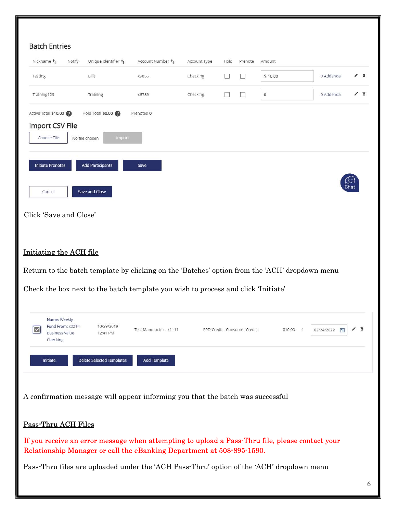| Nickname t                                | Notify         | Unique Identifier $t_{\perp}$    | Account Number 1                                                                                                                                                         | Account Type | Hold | Prenote                      | Amount  |            |      |
|-------------------------------------------|----------------|----------------------------------|--------------------------------------------------------------------------------------------------------------------------------------------------------------------------|--------------|------|------------------------------|---------|------------|------|
| Testing                                   |                | Bills                            | x9856                                                                                                                                                                    | Checking     | ⊔    | □                            | \$10.00 | 0 Addenda  | v    |
| Training123                               |                | Training                         | x6789                                                                                                                                                                    | Checking     | U    | П                            | \$      | 0 Addenda  | ∕ 面  |
| Active Total \$10.00                      |                | Hold Total \$0.00                | Prenotes 0                                                                                                                                                               |              |      |                              |         |            |      |
| Import CSV File                           |                |                                  |                                                                                                                                                                          |              |      |                              |         |            |      |
| Choose File                               | No file chosen | <b>import</b>                    |                                                                                                                                                                          |              |      |                              |         |            |      |
|                                           |                |                                  |                                                                                                                                                                          |              |      |                              |         |            |      |
| <b>Initiate Prenotes</b>                  |                | <b>Add Participants</b>          | Save                                                                                                                                                                     |              |      |                              |         |            |      |
|                                           |                |                                  |                                                                                                                                                                          |              |      |                              |         |            | Chai |
| Cancel                                    |                | Save and Close                   |                                                                                                                                                                          |              |      |                              |         |            |      |
| Click 'Save and Close'                    |                |                                  |                                                                                                                                                                          |              |      |                              |         |            |      |
|                                           |                |                                  |                                                                                                                                                                          |              |      |                              |         |            |      |
|                                           |                |                                  |                                                                                                                                                                          |              |      |                              |         |            |      |
|                                           |                |                                  |                                                                                                                                                                          |              |      |                              |         |            |      |
|                                           |                |                                  |                                                                                                                                                                          |              |      |                              |         |            |      |
| Initiating the ACH file                   |                |                                  |                                                                                                                                                                          |              |      |                              |         |            |      |
|                                           |                |                                  | Return to the batch template by clicking on the 'Batches' option from the 'ACH' dropdown menu                                                                            |              |      |                              |         |            |      |
|                                           |                |                                  | Check the box next to the batch template you wish to process and click 'Initiate'                                                                                        |              |      |                              |         |            |      |
|                                           |                |                                  |                                                                                                                                                                          |              |      |                              |         |            |      |
| Name: Weekly                              |                |                                  |                                                                                                                                                                          |              |      |                              |         |            |      |
| Fund From: x0214<br><b>Business Value</b> |                | 10/29/2019<br>12:41 PM           | Test Manufactur - x1111                                                                                                                                                  |              |      | PPD Credit - Consumer Credit | \$10.00 | 02/24/2022 |      |
| Checking                                  |                |                                  |                                                                                                                                                                          |              |      |                              |         |            |      |
| Initiate                                  |                | <b>Delete Selected Templates</b> | <b>Add Template</b>                                                                                                                                                      |              |      |                              |         |            |      |
|                                           |                |                                  |                                                                                                                                                                          |              |      |                              |         |            |      |
|                                           |                |                                  |                                                                                                                                                                          |              |      |                              |         |            |      |
|                                           |                |                                  | A confirmation message will appear informing you that the batch was successful                                                                                           |              |      |                              |         |            |      |
|                                           |                |                                  |                                                                                                                                                                          |              |      |                              |         |            |      |
| Pass-Thru ACH Files                       |                |                                  |                                                                                                                                                                          |              |      |                              |         |            |      |
|                                           |                |                                  | If you receive an error message when attempting to upload a Pass-Thru file, please contact your<br>Relationship Manager or call the eBanking Department at 508-895-1590. |              |      |                              |         |            |      |